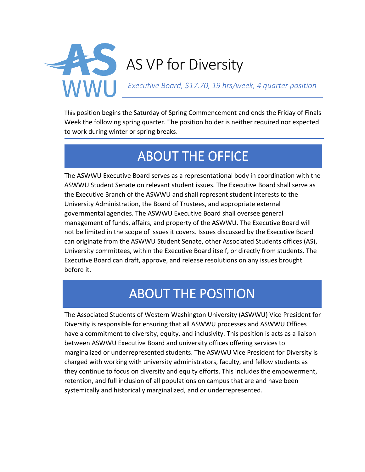

This position begins the Saturday of Spring Commencement and ends the Friday of Finals Week the following spring quarter. The position holder is neither required nor expected to work during winter or spring breaks.

# ABOUT THE OFFICE

The ASWWU Executive Board serves as a representational body in coordination with the ASWWU Student Senate on relevant student issues. The Executive Board shall serve as the Executive Branch of the ASWWU and shall represent student interests to the University Administration, the Board of Trustees, and appropriate external governmental agencies. The ASWWU Executive Board shall oversee general management of funds, affairs, and property of the ASWWU. The Executive Board will not be limited in the scope of issues it covers. Issues discussed by the Executive Board can originate from the ASWWU Student Senate, other Associated Students offices (AS), University committees, within the Executive Board itself, or directly from students. The Executive Board can draft, approve, and release resolutions on any issues brought before it.

## ABOUT THE POSITION

The Associated Students of Western Washington University (ASWWU) Vice President for Diversity is responsible for ensuring that all ASWWU processes and ASWWU Offices have a commitment to diversity, equity, and inclusivity. This position is acts as a liaison between ASWWU Executive Board and university offices offering services to marginalized or underrepresented students. The ASWWU Vice President for Diversity is charged with working with university administrators, faculty, and fellow students as they continue to focus on diversity and equity efforts. This includes the empowerment, retention, and full inclusion of all populations on campus that are and have been systemically and historically marginalized, and or underrepresented.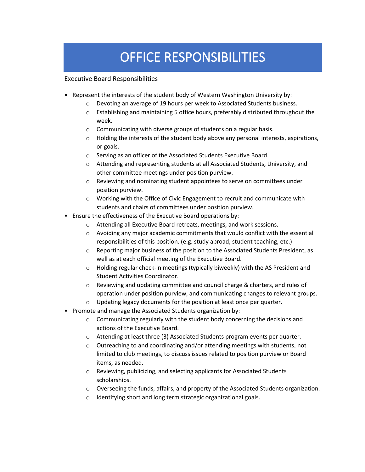## OFFICE RESPONSIBILITIES

Executive Board Responsibilities

- Represent the interests of the student body of Western Washington University by:
	- o Devoting an average of 19 hours per week to Associated Students business.
	- o Establishing and maintaining 5 office hours, preferably distributed throughout the week.
	- o Communicating with diverse groups of students on a regular basis.
	- $\circ$  Holding the interests of the student body above any personal interests, aspirations, or goals.
	- o Serving as an officer of the Associated Students Executive Board.
	- o Attending and representing students at all Associated Students, University, and other committee meetings under position purview.
	- o Reviewing and nominating student appointees to serve on committees under position purview.
	- o Working with the Office of Civic Engagement to recruit and communicate with students and chairs of committees under position purview.
- Ensure the effectiveness of the Executive Board operations by:
	- o Attending all Executive Board retreats, meetings, and work sessions.
	- o Avoiding any major academic commitments that would conflict with the essential responsibilities of this position. (e.g. study abroad, student teaching, etc.)
	- $\circ$  Reporting major business of the position to the Associated Students President, as well as at each official meeting of the Executive Board.
	- $\circ$  Holding regular check-in meetings (typically biweekly) with the AS President and Student Activities Coordinator.
	- o Reviewing and updating committee and council charge & charters, and rules of operation under position purview, and communicating changes to relevant groups.
	- o Updating legacy documents for the position at least once per quarter.
- Promote and manage the Associated Students organization by:
	- $\circ$  Communicating regularly with the student body concerning the decisions and actions of the Executive Board.
	- $\circ$  Attending at least three (3) Associated Students program events per quarter.
	- o Outreaching to and coordinating and/or attending meetings with students, not limited to club meetings, to discuss issues related to position purview or Board items, as needed.
	- o Reviewing, publicizing, and selecting applicants for Associated Students scholarships.
	- $\circ$  Overseeing the funds, affairs, and property of the Associated Students organization.
	- o Identifying short and long term strategic organizational goals.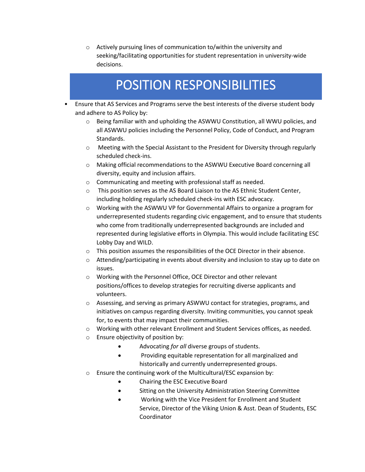o Actively pursuing lines of communication to/within the university and seeking/facilitating opportunities for student representation in university-wide decisions.

### POSITION RESPONSIBILITIES

- Ensure that AS Services and Programs serve the best interests of the diverse student body and adhere to AS Policy by:
	- $\circ$  Being familiar with and upholding the ASWWU Constitution, all WWU policies, and all ASWWU policies including the Personnel Policy, Code of Conduct, and Program Standards.
	- o Meeting with the Special Assistant to the President for Diversity through regularly scheduled check-ins.
	- o Making official recommendations to the ASWWU Executive Board concerning all diversity, equity and inclusion affairs.
	- o Communicating and meeting with professional staff as needed.
	- $\circ$  This position serves as the AS Board Liaison to the AS Ethnic Student Center, including holding regularly scheduled check-ins with ESC advocacy.
	- $\circ$  Working with the ASWWU VP for Governmental Affairs to organize a program for underrepresented students regarding civic engagement, and to ensure that students who come from traditionally underrepresented backgrounds are included and represented during legislative efforts in Olympia. This would include facilitating ESC Lobby Day and WILD.
	- $\circ$  This position assumes the responsibilities of the OCE Director in their absence.
	- $\circ$  Attending/participating in events about diversity and inclusion to stay up to date on issues.
	- o Working with the Personnel Office, OCE Director and other relevant positions/offices to develop strategies for recruiting diverse applicants and volunteers.
	- $\circ$  Assessing, and serving as primary ASWWU contact for strategies, programs, and initiatives on campus regarding diversity. Inviting communities, you cannot speak for, to events that may impact their communities.
	- o Working with other relevant Enrollment and Student Services offices, as needed.
	- o Ensure objectivity of position by:
		- Advocating *for all* diverse groups of students.
		- Providing equitable representation for all marginalized and historically and currently underrepresented groups.
	- o Ensure the continuing work of the Multicultural/ESC expansion by:
		- Chairing the ESC Executive Board
		- Sitting on the University Administration Steering Committee
		- Working with the Vice President for Enrollment and Student Service, Director of the Viking Union & Asst. Dean of Students, ESC Coordinator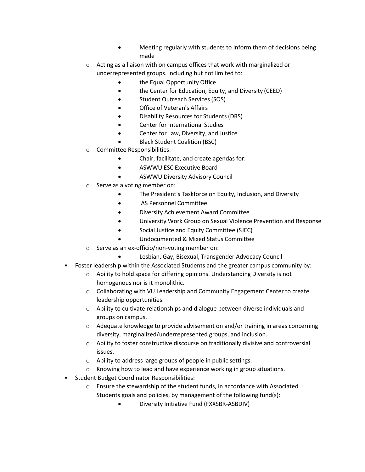- Meeting regularly with students to inform them of decisions being made
- o Acting as a liaison with on campus offices that work with marginalized or underrepresented groups. Including but not limited to:
	- the Equal Opportunity Office
	- the Center for Education, Equity, and Diversity (CEED)
	- Student Outreach Services (SOS)
	- Office of Veteran's Affairs
	- Disability Resources for Students (DRS)
	- Center for International Studies
	- Center for Law, Diversity, and Justice
	- Black Student Coalition (BSC)
- o Committee Responsibilities:
	- Chair, facilitate, and create agendas for:
	- ASWWU ESC Executive Board
	- ASWWU Diversity Advisory Council
- o Serve as a voting member on:
	- The President's Taskforce on Equity, Inclusion, and Diversity
	- AS Personnel Committee
	- Diversity Achievement Award Committee
	- University Work Group on Sexual Violence Prevention and Response
	- Social Justice and Equity Committee (SJEC)
	- Undocumented & Mixed Status Committee
- o Serve as an ex-officio/non-voting member on:
	- Lesbian, Gay, Bisexual, Transgender Advocacy Council
- Foster leadership within the Associated Students and the greater campus community by:
	- o Ability to hold space for differing opinions. Understanding Diversity is not homogenous nor is it monolithic.
	- $\circ$  Collaborating with VU Leadership and Community Engagement Center to create leadership opportunities.
	- $\circ$  Ability to cultivate relationships and dialogue between diverse individuals and groups on campus.
	- $\circ$  Adequate knowledge to provide advisement on and/or training in areas concerning diversity, marginalized/underrepresented groups, and inclusion.
	- $\circ$  Ability to foster constructive discourse on traditionally divisive and controversial issues.
	- o Ability to address large groups of people in public settings.
	- o Knowing how to lead and have experience working in group situations.
- Student Budget Coordinator Responsibilities:
	- o Ensure the stewardship of the student funds, in accordance with Associated Students goals and policies, by management of the following fund(s):
		- Diversity Initiative Fund (FXXSBR-ASBDIV)